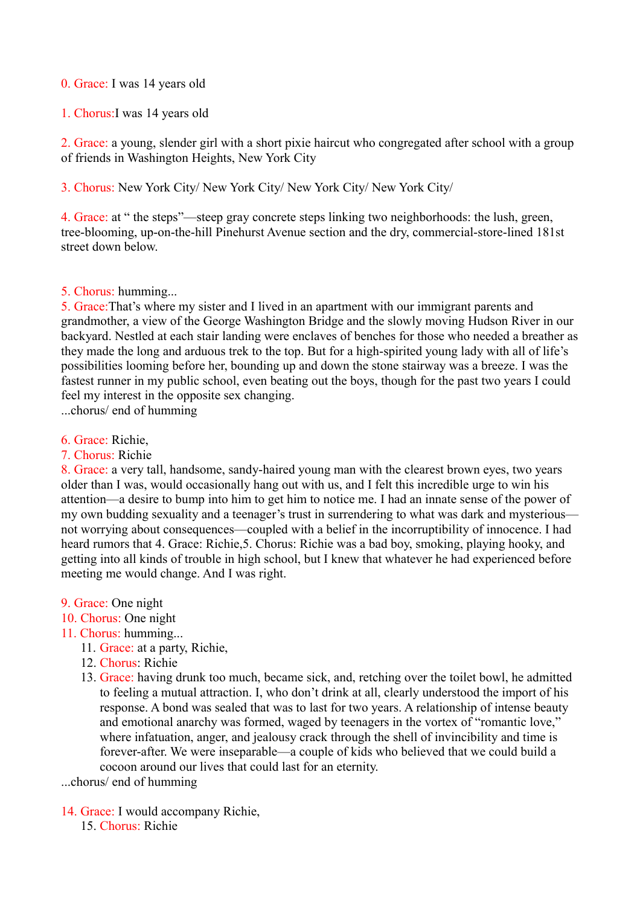## 0. Grace: I was 14 years old

1. Chorus:I was 14 years old

2. Grace: a young, slender girl with a short pixie haircut who congregated after school with a group of friends in Washington Heights, New York City

3. Chorus: New York City/ New York City/ New York City/ New York City/

4. Grace: at " the steps"—steep gray concrete steps linking two neighborhoods: the lush, green, tree-blooming, up-on-the-hill Pinehurst Avenue section and the dry, commercial-store-lined 181st street down below.

## 5. Chorus: humming...

5. Grace:That's where my sister and I lived in an apartment with our immigrant parents and grandmother, a view of the George Washington Bridge and the slowly moving Hudson River in our backyard. Nestled at each stair landing were enclaves of benches for those who needed a breather as they made the long and arduous trek to the top. But for a high-spirited young lady with all of life's possibilities looming before her, bounding up and down the stone stairway was a breeze. I was the fastest runner in my public school, even beating out the boys, though for the past two years I could feel my interest in the opposite sex changing.

...chorus/ end of humming

- 6. Grace: Richie,
- 7. Chorus: Richie

8. Grace: a very tall, handsome, sandy-haired young man with the clearest brown eyes, two years older than I was, would occasionally hang out with us, and I felt this incredible urge to win his attention—a desire to bump into him to get him to notice me. I had an innate sense of the power of my own budding sexuality and a teenager's trust in surrendering to what was dark and mysterious not worrying about consequences—coupled with a belief in the incorruptibility of innocence. I had heard rumors that 4. Grace: Richie,5. Chorus: Richie was a bad boy, smoking, playing hooky, and getting into all kinds of trouble in high school, but I knew that whatever he had experienced before meeting me would change. And I was right.

- 9. Grace: One night
- 10. Chorus: One night
- 11. Chorus: humming...
	- 11. Grace: at a party, Richie,
	- 12. Chorus: Richie
	- 13. Grace: having drunk too much, became sick, and, retching over the toilet bowl, he admitted to feeling a mutual attraction. I, who don't drink at all, clearly understood the import of his response. A bond was sealed that was to last for two years. A relationship of intense beauty and emotional anarchy was formed, waged by teenagers in the vortex of "romantic love," where infatuation, anger, and jealousy crack through the shell of invincibility and time is forever-after. We were inseparable—a couple of kids who believed that we could build a cocoon around our lives that could last for an eternity.

...chorus/ end of humming

14. Grace: I would accompany Richie, 15. Chorus: Richie